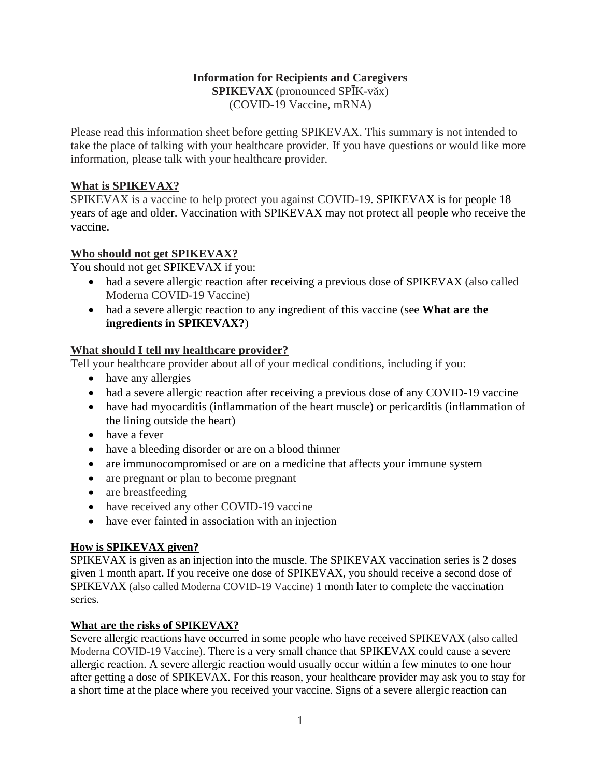# **Information for Recipients and Caregivers SPIKEVAX** (pronounced SPĪK-văx)

(COVID-19 Vaccine, mRNA)

Please read this information sheet before getting SPIKEVAX. This summary is not intended to take the place of talking with your healthcare provider. If you have questions or would like more information, please talk with your healthcare provider.

# **What is SPIKEVAX?**

SPIKEVAX is a vaccine to help protect you against COVID-19. SPIKEVAX is for people 18 years of age and older. Vaccination with SPIKEVAX may not protect all people who receive the vaccine.

# **Who should not get SPIKEVAX?**

You should not get SPIKEVAX if you:

- had a severe allergic reaction after receiving a previous dose of SPIKEVAX (also called Moderna COVID-19 Vaccine)
- had a severe allergic reaction to any ingredient of this vaccine (see **What are the ingredients in SPIKEVAX?**)

### **What should I tell my healthcare provider?**

Tell your healthcare provider about all of your medical conditions, including if you:

- have any allergies
- had a severe allergic reaction after receiving a previous dose of any COVID-19 vaccine
- have had myocarditis (inflammation of the heart muscle) or pericarditis (inflammation of the lining outside the heart)
- have a fever
- have a bleeding disorder or are on a blood thinner
- are immunocompromised or are on a medicine that affects your immune system
- are pregnant or plan to become pregnant
- are breastfeeding
- have received any other COVID-19 vaccine
- have ever fainted in association with an injection

### **How is SPIKEVAX given?**

SPIKEVAX is given as an injection into the muscle. The SPIKEVAX vaccination series is 2 doses given 1 month apart. If you receive one dose of SPIKEVAX, you should receive a second dose of SPIKEVAX (also called Moderna COVID-19 Vaccine) 1 month later to complete the vaccination series.

### **What are the risks of SPIKEVAX?**

Severe allergic reactions have occurred in some people who have received SPIKEVAX (also called Moderna COVID-19 Vaccine). There is a very small chance that SPIKEVAX could cause a severe allergic reaction. A severe allergic reaction would usually occur within a few minutes to one hour after getting a dose of SPIKEVAX. For this reason, your healthcare provider may ask you to stay for a short time at the place where you received your vaccine. Signs of a severe allergic reaction can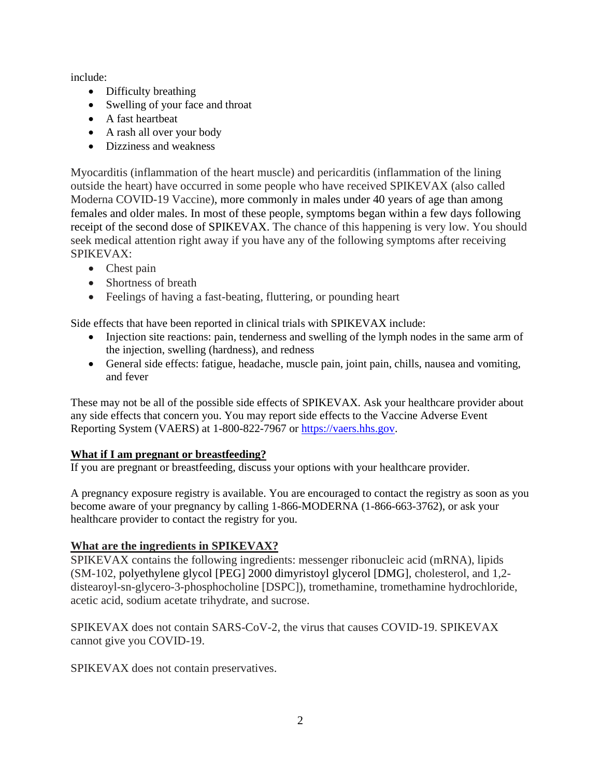include:

- Difficulty breathing
- Swelling of your face and throat
- A fast heartbeat
- A rash all over your body
- Dizziness and weakness

Myocarditis (inflammation of the heart muscle) and pericarditis (inflammation of the lining outside the heart) have occurred in some people who have received SPIKEVAX (also called Moderna COVID-19 Vaccine), more commonly in males under 40 years of age than among females and older males. In most of these people, symptoms began within a few days following receipt of the second dose of SPIKEVAX. The chance of this happening is very low. You should seek medical attention right away if you have any of the following symptoms after receiving SPIKEVAX:

- Chest pain
- Shortness of breath
- Feelings of having a fast-beating, fluttering, or pounding heart

Side effects that have been reported in clinical trials with SPIKEVAX include:

- Injection site reactions: pain, tenderness and swelling of the lymph nodes in the same arm of the injection, swelling (hardness), and redness
- General side effects: fatigue, headache, muscle pain, joint pain, chills, nausea and vomiting, and fever

These may not be all of the possible side effects of SPIKEVAX. Ask your healthcare provider about any side effects that concern you. You may report side effects to the Vaccine Adverse Event Reporting System (VAERS) at 1-800-822-7967 or [https://vaers.hhs.gov.](https://vaers.hhs.gov/)

### **What if I am pregnant or breastfeeding?**

If you are pregnant or breastfeeding, discuss your options with your healthcare provider.

A pregnancy exposure registry is available. You are encouraged to contact the registry as soon as you become aware of your pregnancy by calling 1-866-MODERNA (1-866-663-3762), or ask your healthcare provider to contact the registry for you.

### **What are the ingredients in SPIKEVAX?**

SPIKEVAX contains the following ingredients: messenger ribonucleic acid (mRNA), lipids (SM-102, polyethylene glycol [PEG] 2000 dimyristoyl glycerol [DMG], cholesterol, and 1,2 distearoyl-sn-glycero-3-phosphocholine [DSPC]), tromethamine, tromethamine hydrochloride, acetic acid, sodium acetate trihydrate, and sucrose.

SPIKEVAX does not contain SARS-CoV-2, the virus that causes COVID-19. SPIKEVAX cannot give you COVID-19.

SPIKEVAX does not contain preservatives.